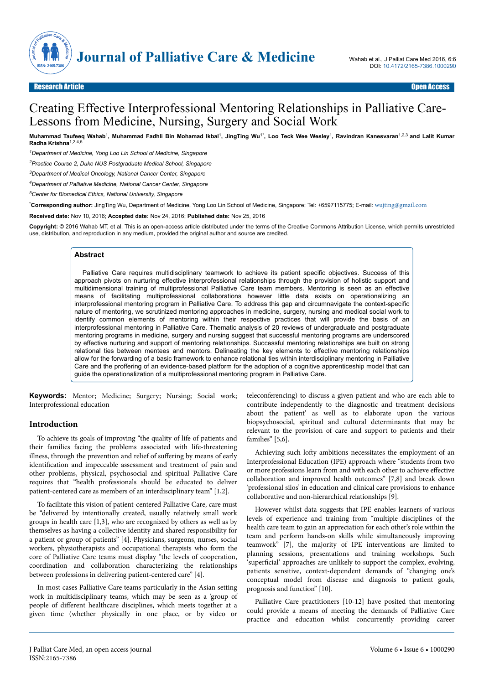

# Creating Effective Interprofessional Mentoring Relationships in Palliative Care-Lessons from Medicine, Nursing, Surgery and Social Work

**Muhammad Taufeeq Wahab**<sup>1</sup> **, Muhammad Fadhli Bin Mohamad Ikbal**<sup>1</sup> **, JingTing Wu**1\***, Loo Teck Wee Wesley**<sup>1</sup> **, Ravindran Kanesvaran**1,2,3 **and Lalit Kumar Radha Krishna**1,2,4,5

*<sup>1</sup>Department of Medicine, Yong Loo Lin School of Medicine, Singapore*

*<sup>2</sup>Practice Course 2, Duke NUS Postgraduate Medical School, Singapore*

*<sup>3</sup>Department of Medical Oncology, National Cancer Center, Singapore*

*<sup>4</sup>Department of Palliative Medicine, National Cancer Center, Singapore*

*<sup>5</sup>Center for Biomedical Ethics, National University, Singapore*

\***Corresponding author:** JingTing Wu, Department of Medicine, Yong Loo Lin School of Medicine, Singapore; Tel: +6597115775; E-mail: [wujting@gmail.com](mailto:wujting@gmail.com)

**Received date:** Nov 10, 2016; **Accepted date:** Nov 24, 2016; **Published date:** Nov 25, 2016

**Copyright:** © 2016 Wahab MT, et al. This is an open-access article distributed under the terms of the Creative Commons Attribution License, which permits unrestricted use, distribution, and reproduction in any medium, provided the original author and source are credited.

### **Abstract**

Palliative Care requires multidisciplinary teamwork to achieve its patient specific objectives. Success of this approach pivots on nurturing effective interprofessional relationships through the provision of holistic support and multidimensional training of multiprofessional Palliative Care team members. Mentoring is seen as an effective means of facilitating multiprofessional collaborations however little data exists on operationalizing an interprofessional mentoring program in Palliative Care. To address this gap and circumnavigate the context-specific nature of mentoring, we scrutinized mentoring approaches in medicine, surgery, nursing and medical social work to identify common elements of mentoring within their respective practices that will provide the basis of an interprofessional mentoring in Palliative Care. Thematic analysis of 20 reviews of undergraduate and postgraduate mentoring programs in medicine, surgery and nursing suggest that successful mentoring programs are underscored by effective nurturing and support of mentoring relationships. Successful mentoring relationships are built on strong relational ties between mentees and mentors. Delineating the key elements to effective mentoring relationships allow for the forwarding of a basic framework to enhance relational ties within interdisciplinary mentoring in Palliative Care and the proffering of an evidence-based platform for the adoption of a cognitive apprenticeship model that can guide the operationalization of a multiprofessional mentoring program in Palliative Care.

**Keywords:** Mentor; Medicine; Surgery; Nursing; Social work; Interprofessional education

### **Introduction**

To achieve its goals of improving "the quality of life of patients and their families facing the problems associated with life-threatening illness, through the prevention and relief of suffering by means of early identification and impeccable assessment and treatment of pain and other problems, physical, psychosocial and spiritual Palliative Care requires that "health professionals should be educated to deliver patient-centered care as members of an interdisciplinary team" [1,2].

To facilitate this vision of patient-centered Palliative Care, care must be "delivered by intentionally created, usually relatively small work groups in health care [1,3], who are recognized by others as well as by themselves as having a collective identity and shared responsibility for a patient or group of patients" [4]. Physicians, surgeons, nurses, social workers, physiotherapists and occupational therapists who form the core of Palliative Care teams must display "the levels of cooperation, coordination and collaboration characterizing the relationships between professions in delivering patient-centered care" [4].

In most cases Palliative Care teams particularly in the Asian setting work in multidisciplinary teams, which may be seen as a 'group of people of different healthcare disciplines, which meets together at a given time (whether physically in one place, or by video or teleconferencing) to discuss a given patient and who are each able to contribute independently to the diagnostic and treatment decisions about the patient' as well as to elaborate upon the various biopsychosocial, spiritual and cultural determinants that may be relevant to the provision of care and support to patients and their families" [5,6].

Achieving such lofty ambitions necessitates the employment of an Interprofessional Education (IPE) approach where "students from two or more professions learn from and with each other to achieve effective collaboration and improved health outcomes" [7,8] and break down 'professional silos' in education and clinical care provisions to enhance collaborative and non-hierarchical relationships [9].

However whilst data suggests that IPE enables learners of various levels of experience and training from "multiple disciplines of the health care team to gain an appreciation for each other's role within the team and perform hands-on skills while simultaneously improving teamwork" [7], the majority of IPE interventions are limited to planning sessions, presentations and training workshops. Such 'superficial' approaches are unlikely to support the complex, evolving, patients sensitive, context-dependent demands of "changing one's conceptual model from disease and diagnosis to patient goals, prognosis and function" [10].

Palliative Care practitioners [10-12] have posited that mentoring could provide a means of meeting the demands of Palliative Care practice and education whilst concurrently providing career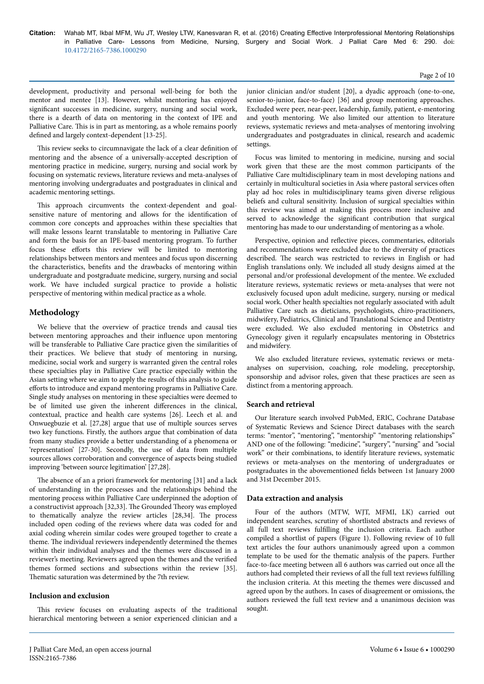#### Page 2 of 10

development, productivity and personal well-being for both the mentor and mentee [13]. However, whilst mentoring has enjoyed significant successes in medicine, surgery, nursing and social work, there is a dearth of data on mentoring in the context of IPE and Palliative Care. This is in part as mentoring, as a whole remains poorly defined and largely context-dependent [13-25].

This review seeks to circumnavigate the lack of a clear definition of mentoring and the absence of a universally-accepted description of mentoring practice in medicine, surgery, nursing and social work by focusing on systematic reviews, literature reviews and meta-analyses of mentoring involving undergraduates and postgraduates in clinical and academic mentoring settings.

This approach circumvents the context-dependent and goalsensitive nature of mentoring and allows for the identification of common core concepts and approaches within these specialties that will make lessons learnt translatable to mentoring in Palliative Care and form the basis for an IPE-based mentoring program. To further focus these efforts this review will be limited to mentoring relationships between mentors and mentees and focus upon discerning the characteristics, benefits and the drawbacks of mentoring within undergraduate and postgraduate medicine, surgery, nursing and social work. We have included surgical practice to provide a holistic perspective of mentoring within medical practice as a whole.

# **Methodology**

We believe that the overview of practice trends and causal ties between mentoring approaches and their influence upon mentoring will be transferable to Palliative Care practice given the similarities of their practices. We believe that study of mentoring in nursing, medicine, social work and surgery is warranted given the central roles these specialties play in Palliative Care practice especially within the Asian setting where we aim to apply the results of this analysis to guide efforts to introduce and expand mentoring programs in Palliative Care. Single study analyses on mentoring in these specialties were deemed to be of limited use given the inherent differences in the clinical, contextual, practice and health care systems [26]. Leech et al. and Onwuegbuzie et al. [27,28] argue that use of multiple sources serves two key functions. Firstly, the authors argue that combination of data from many studies provide a better understanding of a phenomena or 'representation' [27-30]. Secondly, the use of data from multiple sources allows corroboration and convergence of aspects being studied improving 'between source legitimation' [27,28].

The absence of an a priori framework for mentoring [31] and a lack of understanding in the processes and the relationships behind the mentoring process within Palliative Care underpinned the adoption of a constructivist approach [32,33]. Нe Grounded Нeory was employed to thematically analyze the review articles [28,34]. Нe process included open coding of the reviews where data was coded for and axial coding wherein similar codes were grouped together to create a theme. The individual reviewers independently determined the themes within their individual analyses and the themes were discussed in a reviewer's meeting. Reviewers agreed upon the themes and the verified themes formed sections and subsections within the review [35]. Thematic saturation was determined by the 7th review.

### **Inclusion and exclusion**

This review focuses on evaluating aspects of the traditional hierarchical mentoring between a senior experienced clinician and a

junior clinician and/or student [20], a dyadic approach (one-to-one, senior-to-junior, face-to-face) [36] and group mentoring approaches. Excluded were peer, near-peer, leadership, family, patient, e-mentoring and youth mentoring. We also limited our attention to literature reviews, systematic reviews and meta-analyses of mentoring involving undergraduates and postgraduates in clinical, research and academic settings.

Focus was limited to mentoring in medicine, nursing and social work given that these are the most common participants of the Palliative Care multidisciplinary team in most developing nations and certainly in multicultural societies in Asia where pastoral services often play ad hoc roles in multidisciplinary teams given diverse religious beliefs and cultural sensitivity. Inclusion of surgical specialties within this review was aimed at making this process more inclusive and served to acknowledge the significant contribution that surgical mentoring has made to our understanding of mentoring as a whole.

Perspective, opinion and reflective pieces, commentaries, editorials and recommendations were excluded due to the diversity of practices described. Нe search was restricted to reviews in English or had English translations only. We included all study designs aimed at the personal and/or professional development of the mentee. We excluded literature reviews, systematic reviews or meta-analyses that were not exclusively focused upon adult medicine, surgery, nursing or medical social work. Other health specialties not regularly associated with adult Palliative Care such as dieticians, psychologists, chiro-practitioners, midwifery, Pediatrics, Clinical and Translational Science and Dentistry were excluded. We also excluded mentoring in Obstetrics and Gynecology given it regularly encapsulates mentoring in Obstetrics and midwifery.

We also excluded literature reviews, systematic reviews or metaanalyses on supervision, coaching, role modeling, preceptorship, sponsorship and advisor roles, given that these practices are seen as distinct from a mentoring approach.

# **Search and retrieval**

Our literature search involved PubMed, ERIC, Cochrane Database of Systematic Reviews and Science Direct databases with the search terms: "mentor", "mentoring", "mentorship" "mentoring relationships" AND one of the following: "medicine", "surgery", "nursing" and "social work" or their combinations, to identify literature reviews, systematic reviews or meta-analyses on the mentoring of undergraduates or postgraduates in the abovementioned fields between 1st January 2000 and 31st December 2015.

#### **Data extraction and analysis**

Four of the authors (MTW, WJT, MFMI, LK) carried out independent searches, scrutiny of shortlisted abstracts and reviews of all full text reviews fulfilling the inclusion criteria. Each author compiled a shortlist of papers (Figure 1). Following review of 10 full text articles the four authors unanimously agreed upon a common template to be used for the thematic analysis of the papers. Further face-to-face meeting between all 6 authors was carried out once all the authors had completed their reviews of all the full text reviews fulfilling the inclusion criteria. At this meeting the themes were discussed and agreed upon by the authors. In cases of disagreement or omissions, the authors reviewed the full text review and a unanimous decision was sought.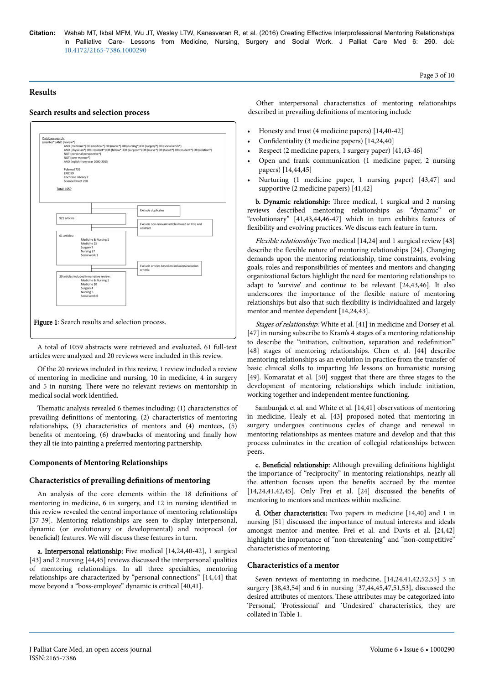# **Results**

### **Search results and selection process**



A total of 1059 abstracts were retrieved and evaluated, 61 full-text articles were analyzed and 20 reviews were included in this review.

Of the 20 reviews included in this review, 1 review included a review of mentoring in medicine and nursing, 10 in medicine, 4 in surgery and 5 in nursing. Нere were no relevant reviews on mentorship in medical social work identified.

Thematic analysis revealed 6 themes including: (1) characteristics of prevailing definitions of mentoring, (2) characteristics of mentoring relationships, (3) characteristics of mentors and (4) mentees, (5) benefits of mentoring, (6) drawbacks of mentoring and finally how they all tie into painting a preferred mentoring partnership.

# **Components of Mentoring Relationships**

### **Characteristics of prevailing definitions of mentoring**

An analysis of the core elements within the 18 definitions of mentoring in medicine, 6 in surgery, and 12 in nursing identified in this review revealed the central importance of mentoring relationships [37-39]. Mentoring relationships are seen to display interpersonal, dynamic (or evolutionary or developmental) and reciprocal (or beneficial) features. We will discuss these features in turn.

a. Interpersonal relationship: Five medical [14,24,40-42], 1 surgical [43] and 2 nursing [44,45] reviews discussed the interpersonal qualities of mentoring relationships. In all three specialties, mentoring relationships are characterized by "personal connections" [14,44] that move beyond a "boss-employee" dynamic is critical [40,41].

Other interpersonal characteristics of mentoring relationships described in prevailing definitions of mentoring include

- Honesty and trust (4 medicine papers) [14,40-42]
- Confidentiality (3 medicine papers) [14,24,40]
- Respect (2 medicine papers, 1 surgery paper) [41,43-46]
- Open and frank communication (1 medicine paper, 2 nursing papers) [14,44,45]
- Nurturing (1 medicine paper, 1 nursing paper) [43,47] and supportive (2 medicine papers) [41,42]

b. Dynamic relationship: Нree medical, 1 surgical and 2 nursing reviews described mentoring relationships as "dynamic" or "evolutionary" [41,43,44,46-47] which in turn exhibits features of flexibility and evolving practices. We discuss each feature in turn.

Flexible relationship: Two medical [14,24] and 1 surgical review [43] describe the flexible nature of mentoring relationships [24]. Changing demands upon the mentoring relationship, time constraints, evolving goals, roles and responsibilities of mentees and mentors and changing organizational factors highlight the need for mentoring relationships to adapt to 'survive' and continue to be relevant [24,43,46]. It also underscores the importance of the flexible nature of mentoring relationships but also that such flexibility is individualized and largely mentor and mentee dependent [14,24,43].

Stages of relationship: White et al. [41] in medicine and Dorsey et al. [47] in nursing subscribe to Kram's 4 stages of a mentoring relationship to describe the "initiation, cultivation, separation and redefinition" [48] stages of mentoring relationships. Chen et al. [44] describe mentoring relationships as an evolution in practice from the transfer of basic clinical skills to imparting life lessons on humanistic nursing [49]. Komaratat et al. [50] suggest that there are three stages to the development of mentoring relationships which include initiation, working together and independent mentee functioning.

Sambunjak et al. and White et al. [14,41] observations of mentoring in medicine, Healy et al. [43] proposed noted that mentoring in surgery undergoes continuous cycles of change and renewal in mentoring relationships as mentees mature and develop and that this process culminates in the creation of collegial relationships between peers.

c. Beneficial relationship: Although prevailing definitions highlight the importance of "reciprocity" in mentoring relationships, nearly all the attention focuses upon the benefits accrued by the mentee [14,24,41,42,45]. Only Frei et al. [24] discussed the benefits of mentoring to mentors and mentees within medicine.

d. Other characteristics: Two papers in medicine [14,40] and 1 in nursing [51] discussed the importance of mutual interests and ideals amongst mentor and mentee. Frei et al. and Davis et al. [24,42] highlight the importance of "non-threatening" and "non-competitive" characteristics of mentoring.

#### **Characteristics of a mentor**

Seven reviews of mentoring in medicine, [14,24,41,42,52,53] 3 in surgery [38,43,54] and 6 in nursing [37,44,45,47,51,53], discussed the desired attributes of mentors. Нese attributes may be categorized into 'Personal', 'Professional' and 'Undesired' characteristics, they are collated in Table 1.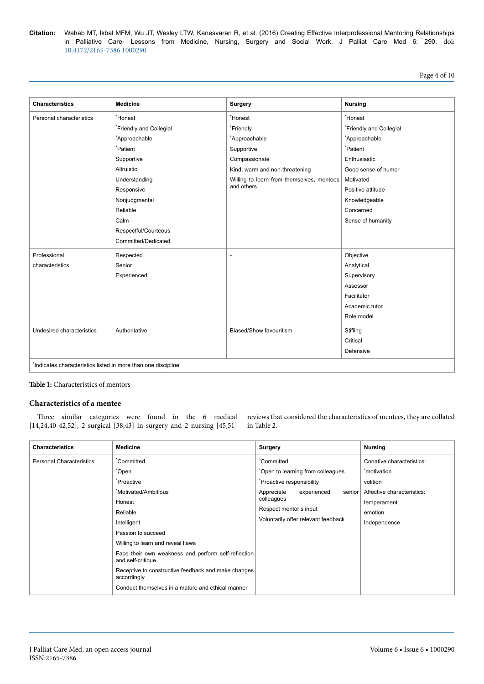Page 4 of 10

| <b>Characteristics</b>                                        | <b>Medicine</b>         | <b>Surgery</b>                            | <b>Nursing</b>          |
|---------------------------------------------------------------|-------------------------|-------------------------------------------|-------------------------|
| Personal characteristics                                      | *Honest                 | *Honest                                   | *Honest                 |
|                                                               | *Friendly and Collegial | *Friendly                                 | *Friendly and Collegial |
|                                                               | *Approachable           | *Approachable                             | *Approachable           |
|                                                               | *Patient                | Supportive                                | *Patient                |
|                                                               | Supportive              | Compassionate                             | Enthusiastic            |
|                                                               | Altruistic              | Kind, warm and non-threatening            | Good sense of humor     |
|                                                               | Understanding           | Willing to learn from themselves, mentees | Motivated               |
|                                                               | Responsive              | and others                                | Positive attitude       |
|                                                               | Nonjudgmental           |                                           | Knowledgeable           |
|                                                               | Reliable                |                                           | Concerned               |
|                                                               | Calm                    |                                           | Sense of humanity       |
|                                                               | Respectful/Courteous    |                                           |                         |
|                                                               | Committed/Dedicated     |                                           |                         |
| Professional                                                  | Respected               | $\blacksquare$                            | Objective               |
| characteristics                                               | Senior                  |                                           | Analytical              |
|                                                               | Experienced             |                                           | Supervisory             |
|                                                               |                         |                                           | Assessor                |
|                                                               |                         |                                           | Facilitator             |
|                                                               |                         |                                           | Academic tutor          |
|                                                               |                         |                                           | Role model              |
| Undesired characteristics                                     | Authoritative           | Biased/Show favouritism                   | Stifling                |
|                                                               |                         |                                           | Critical                |
|                                                               |                         |                                           | Defensive               |
| *Indicates characteristics listed in more than one discipline |                         |                                           |                         |

#### Table 1: Characteristics of mentors

# **Characteristics of a mentee**

Three similar categories were found in the 6 medical [14,24,40-42,52], 2 surgical [38,43] in surgery and 2 nursing [45,51] reviews that considered the characteristics of mentees, they are collated in Table 2.

| <b>Characteristics</b>          | <b>Medicine</b>                                                          | Surgery                                                       | <b>Nursing</b>             |
|---------------------------------|--------------------------------------------------------------------------|---------------------------------------------------------------|----------------------------|
| <b>Personal Characteristics</b> | Committed                                                                | *Committed                                                    | Conative characteristics:  |
|                                 | *Open                                                                    | *Open to learning from colleagues                             | <sup>*</sup> motivation    |
|                                 | *Proactive                                                               | Proactive responsibility                                      | volition                   |
|                                 | *Motivated/Ambitious                                                     | Appreciate<br>experienced<br>senior                           | Affective characteristics: |
|                                 | Honest                                                                   | colleagues                                                    | temperament                |
|                                 | Reliable                                                                 | Respect mentor's input<br>Voluntarily offer relevant feedback | emotion                    |
|                                 | Intelligent                                                              |                                                               | Independence               |
|                                 | Passion to succeed                                                       |                                                               |                            |
|                                 | Willing to learn and reveal flaws                                        |                                                               |                            |
|                                 | Face their own weakness and perform self-reflection<br>and self-critique |                                                               |                            |
|                                 | Receptive to constructive feedback and make changes<br>accordingly       |                                                               |                            |
|                                 | Conduct themselves in a mature and ethical manner                        |                                                               |                            |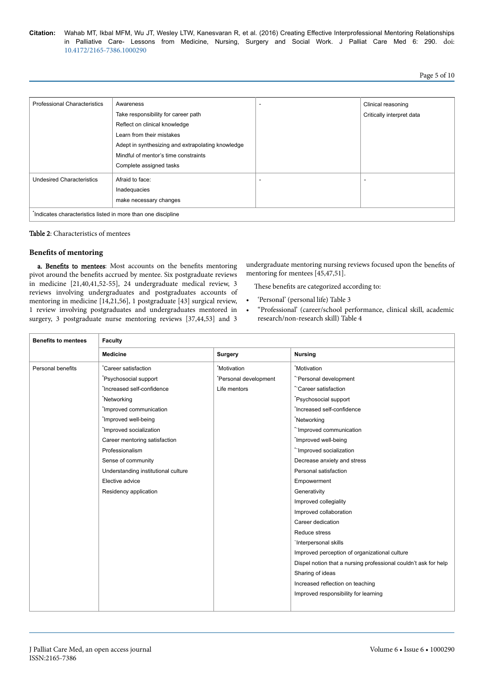| <b>Professional Characteristics</b>                          | Awareness                                         | $\overline{\phantom{a}}$ | Clinical reasoning        |
|--------------------------------------------------------------|---------------------------------------------------|--------------------------|---------------------------|
|                                                              | Take responsibility for career path               |                          | Critically interpret data |
|                                                              | Reflect on clinical knowledge                     |                          |                           |
|                                                              | Learn from their mistakes                         |                          |                           |
|                                                              | Adept in synthesizing and extrapolating knowledge |                          |                           |
|                                                              | Mindful of mentor's time constraints              |                          |                           |
|                                                              | Complete assigned tasks                           |                          |                           |
| Undesired Characteristics                                    | Afraid to face:                                   | $\overline{\phantom{a}}$ |                           |
|                                                              | Inadequacies                                      |                          |                           |
|                                                              | make necessary changes                            |                          |                           |
| Indicates characteristics listed in more than one discipline |                                                   |                          |                           |

# Table 2: Characteristics of mentees

# **Benefits** of mentoring

a. Benefits to mentees: Most accounts on the benefits mentoring pivot around the benefits accrued by mentee. Six postgraduate reviews in medicine [21,40,41,52-55], 24 undergraduate medical review, 3 reviews involving undergraduates and postgraduates accounts of mentoring in medicine [14,21,56], 1 postgraduate [43] surgical review, 1 review involving postgraduates and undergraduates mentored in surgery, 3 postgraduate nurse mentoring reviews [37,44,53] and 3

undergraduate mentoring nursing reviews focused upon the benefits of mentoring for mentees [45,47,51].

These benefits are categorized according to:

- 'Personal' (personal life) Table 3
- "Professional' (career/school performance, clinical skill, academic research/non-research skill) Table 4

| <b>Benefits to mentees</b> | <b>Faculty</b>                      |                       |                                                                 |
|----------------------------|-------------------------------------|-----------------------|-----------------------------------------------------------------|
|                            | <b>Medicine</b>                     | <b>Surgery</b>        | <b>Nursing</b>                                                  |
| Personal benefits          | *Career satisfaction                | *Motivation           | *Motivation                                                     |
|                            | *Psychosocial support               | *Personal development | *Personal development                                           |
|                            | Increased self-confidence           | Life mentors          | *Career satisfaction                                            |
|                            | *Networking                         |                       | *Psychosocial support                                           |
|                            | <sup>*</sup> Improved communication |                       | *Increased self-confidence                                      |
|                            | *Improved well-being                |                       | *Networking                                                     |
|                            | <sup>*</sup> Improved socialization |                       | *'Improved communication                                        |
|                            | Career mentoring satisfaction       |                       | *Improved well-being                                            |
|                            | Professionalism                     |                       | *Improved socialization                                         |
|                            | Sense of community                  |                       | Decrease anxiety and stress                                     |
|                            | Understanding institutional culture |                       | Personal satisfaction                                           |
|                            | Elective advice                     |                       | Empowerment                                                     |
|                            | Residency application               |                       | Generativity                                                    |
|                            |                                     |                       | Improved collegiality                                           |
|                            |                                     |                       | Improved collaboration                                          |
|                            |                                     |                       | Career dedication                                               |
|                            |                                     |                       | Reduce stress                                                   |
|                            |                                     |                       | 'Interpersonal skills                                           |
|                            |                                     |                       | Improved perception of organizational culture                   |
|                            |                                     |                       | Dispel notion that a nursing professional couldn't ask for help |
|                            |                                     |                       | Sharing of ideas                                                |
|                            |                                     |                       | Increased reflection on teaching                                |
|                            |                                     |                       | Improved responsibility for learning                            |
|                            |                                     |                       |                                                                 |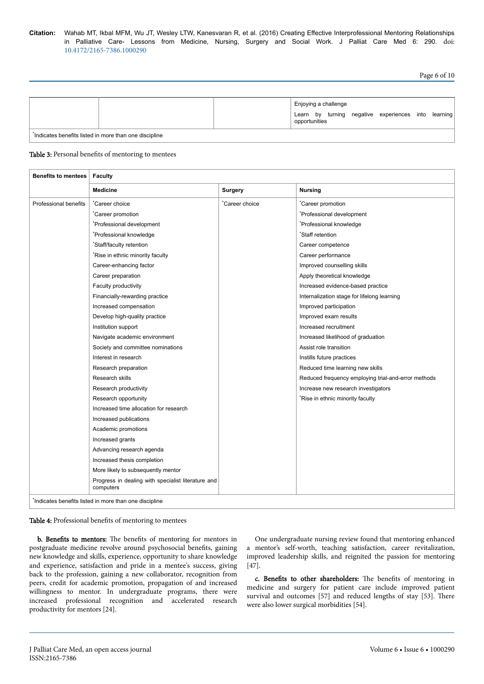Page 6 of 10

|                                                       | Enjoying a challenge<br>Learn by turning negative experiences into learning<br>opportunities |
|-------------------------------------------------------|----------------------------------------------------------------------------------------------|
| Indicates benefits listed in more than one discipline |                                                                                              |

### Table 3: Personal benefits of mentoring to mentees

| <b>Benefits to mentees</b> | <b>Faculty</b>                                                  |                |                                                     |
|----------------------------|-----------------------------------------------------------------|----------------|-----------------------------------------------------|
|                            | <b>Medicine</b>                                                 | Surgery        | <b>Nursing</b>                                      |
| Professional benefits      | *Career choice                                                  | *Career choice | *Career promotion                                   |
|                            | *Career promotion                                               |                | *Professional development                           |
|                            | *Professional development                                       |                | *Professional knowledge                             |
|                            | *Professional knowledge                                         |                | Staff retention                                     |
|                            | *Staff/faculty retention                                        |                | Career competence                                   |
|                            | *Rise in ethnic minority faculty                                |                | Career performance                                  |
|                            | Career-enhancing factor                                         |                | Improved counselling skills                         |
|                            | Career preparation                                              |                | Apply theoretical knowledge                         |
|                            | Faculty productivity                                            |                | Increased evidence-based practice                   |
|                            | Financially-rewarding practice                                  |                | Internalization stage for lifelong learning         |
|                            | Increased compensation                                          |                | Improved participation                              |
|                            | Develop high-quality practice                                   |                | Improved exam results                               |
|                            | Institution support                                             |                | Increased recruitment                               |
|                            | Navigate academic environment                                   |                | Increased likelihood of graduation                  |
|                            | Society and committee nominations                               |                | Assist role transition                              |
|                            | Interest in research                                            |                | Instills future practices                           |
|                            | Research preparation                                            |                | Reduced time learning new skills                    |
|                            | Research skills                                                 |                | Reduced frequency employing trial-and-error methods |
|                            | Research productivity                                           |                | Increase new research investigators                 |
|                            | Research opportunity                                            |                | *Rise in ethnic minority faculty                    |
|                            | Increased time allocation for research                          |                |                                                     |
|                            | Increased publications                                          |                |                                                     |
|                            | Academic promotions                                             |                |                                                     |
|                            | Increased grants                                                |                |                                                     |
|                            | Advancing research agenda                                       |                |                                                     |
|                            | Increased thesis completion                                     |                |                                                     |
|                            | More likely to subsequently mentor                              |                |                                                     |
|                            | Progress in dealing with specialist literature and<br>computers |                |                                                     |
|                            | Indicates benefits listed in more than one discipline           |                |                                                     |

Table 4: Professional benefits of mentoring to mentees

b. Benefits to mentors: Нe benefits of mentoring for mentors in postgraduate medicine revolve around psychosocial benefits, gaining new knowledge and skills, experience, opportunity to share knowledge and experience, satisfaction and pride in a mentee's success, giving back to the profession, gaining a new collaborator, recognition from peers, credit for academic promotion, propagation of and increased willingness to mentor. In undergraduate programs, there were increased professional recognition and accelerated research productivity for mentors [24].

One undergraduate nursing review found that mentoring enhanced a mentor's self-worth, teaching satisfaction, career revitalization, improved leadership skills, and reignited the passion for mentoring [47].

c. Benefits to other shareholders: Нe benefits of mentoring in medicine and surgery for patient care include improved patient survival and outcomes [57] and reduced lengths of stay [53]. Нere were also lower surgical morbidities [54].

J Palliat Care Med, an open access journal ISSN:2165-7386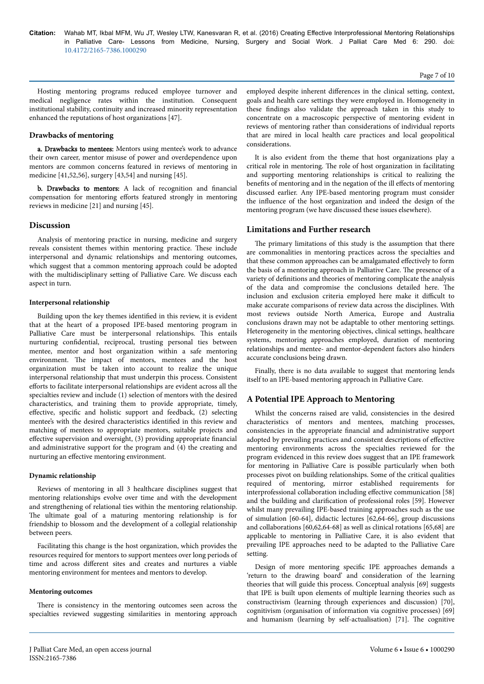### Page 7 of 10

Hosting mentoring programs reduced employee turnover and medical negligence rates within the institution. Consequent institutional stability, continuity and increased minority representation enhanced the reputations of host organizations [47].

# **Drawbacks of mentoring**

a. Drawbacks to mentees: Mentors using mentee's work to advance their own career, mentor misuse of power and overdependence upon mentors are common concerns featured in reviews of mentoring in medicine [41,52,56], surgery [43,54] and nursing [45].

b. Drawbacks to mentors: A lack of recognition and financial compensation for mentoring efforts featured strongly in mentoring reviews in medicine [21] and nursing [45].

# **Discussion**

Analysis of mentoring practice in nursing, medicine and surgery reveals consistent themes within mentoring practice. Нese include interpersonal and dynamic relationships and mentoring outcomes, which suggest that a common mentoring approach could be adopted with the multidisciplinary setting of Palliative Care. We discuss each aspect in turn.

### **Interpersonal relationship**

Building upon the key themes identified in this review, it is evident that at the heart of a proposed IPE-based mentoring program in Palliative Care must be interpersonal relationships. This entails nurturing confidential, reciprocal, trusting personal ties between mentee, mentor and host organization within a safe mentoring environment. Нe impact of mentors, mentees and the host organization must be taken into account to realize the unique interpersonal relationship that must underpin this process. Consistent efforts to facilitate interpersonal relationships are evident across all the specialties review and include (1) selection of mentors with the desired characteristics, and training them to provide appropriate, timely, effective, specific and holistic support and feedback, (2) selecting mentee's with the desired characteristics identified in this review and matching of mentees to appropriate mentors, suitable projects and effective supervision and oversight, (3) providing appropriate financial and administrative support for the program and (4) the creating and nurturing an effective mentoring environment.

# **Dynamic relationship**

Reviews of mentoring in all 3 healthcare disciplines suggest that mentoring relationships evolve over time and with the development and strengthening of relational ties within the mentoring relationship. The ultimate goal of a maturing mentoring relationship is for friendship to blossom and the development of a collegial relationship between peers.

Facilitating this change is the host organization, which provides the resources required for mentors to support mentees over long periods of time and across different sites and creates and nurtures a viable mentoring environment for mentees and mentors to develop.

#### **Mentoring outcomes**

There is consistency in the mentoring outcomes seen across the specialties reviewed suggesting similarities in mentoring approach employed despite inherent differences in the clinical setting, context, goals and health care settings they were employed in. Homogeneity in these findings also validate the approach taken in this study to concentrate on a macroscopic perspective of mentoring evident in reviews of mentoring rather than considerations of individual reports that are mired in local health care practices and local geopolitical considerations.

It is also evident from the theme that host organizations play a critical role in mentoring. Нe role of host organization in facilitating and supporting mentoring relationships is critical to realizing the benefits of mentoring and in the negation of the ill effects of mentoring discussed earlier. Any IPE-based mentoring program must consider the influence of the host organization and indeed the design of the mentoring program (we have discussed these issues elsewhere).

# **Limitations and Further research**

The primary limitations of this study is the assumption that there are commonalities in mentoring practices across the specialties and that these common approaches can be amalgamated effectively to form the basis of a mentoring approach in Palliative Care. Нe presence of a variety of definitions and theories of mentoring complicate the analysis of the data and compromise the conclusions detailed here. Нe inclusion and exclusion criteria employed here make it difficult to make accurate comparisons of review data across the disciplines. With most reviews outside North America, Europe and Australia conclusions drawn may not be adaptable to other mentoring settings. Heterogeneity in the mentoring objectives, clinical settings, healthcare systems, mentoring approaches employed, duration of mentoring relationships and mentee- and mentor-dependent factors also hinders accurate conclusions being drawn.

Finally, there is no data available to suggest that mentoring lends itself to an IPE-based mentoring approach in Palliative Care.

# **A Potential IPE Approach to Mentoring**

Whilst the concerns raised are valid, consistencies in the desired characteristics of mentors and mentees, matching processes, consistencies in the appropriate financial and administrative support adopted by prevailing practices and consistent descriptions of effective mentoring environments across the specialties reviewed for the program evidenced in this review does suggest that an IPE framework for mentoring in Palliative Care is possible particularly when both processes pivot on building relationships. Some of the critical qualities required of mentoring, mirror established requirements for interprofessional collaboration including effective communication [58] and the building and clarification of professional roles [59]. However whilst many prevailing IPE-based training approaches such as the use of simulation [60-64], didactic lectures [62,64-66], group discussions and collaborations [60,62,64-68] as well as clinical rotations [65,68] are applicable to mentoring in Palliative Care, it is also evident that prevailing IPE approaches need to be adapted to the Palliative Care setting.

Design of more mentoring specific IPE approaches demands a 'return to the drawing board' and consideration of the learning theories that will guide this process. Conceptual analysis [69] suggests that IPE is built upon elements of multiple learning theories such as constructivism (learning through experiences and discussion) [70], cognitivism (organisation of information via cognitive processes) [69] and humanism (learning by self-actualisation) [71]. Нe cognitive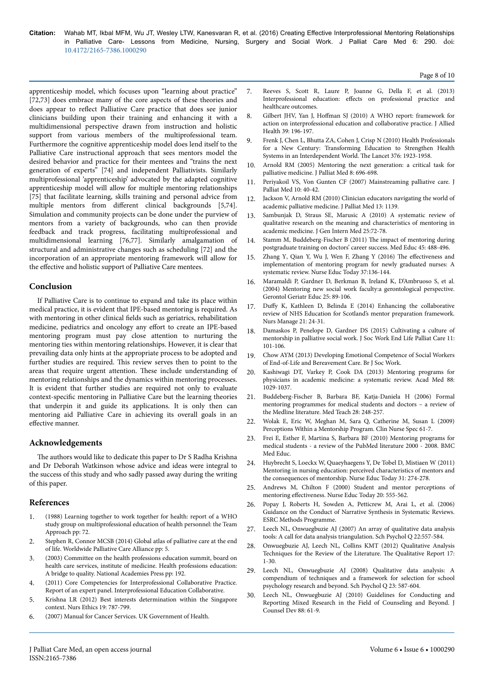apprenticeship model, which focuses upon "learning about practice" [72,73] does embrace many of the core aspects of these theories and does appear to reflect Palliative Care practice that does see junior clinicians building upon their training and enhancing it with a multidimensional perspective drawn from instruction and holistic support from various members of the multiprofessional team. Furthermore the cognitive apprenticeship model does lend itself to the Palliative Care instructional approach that sees mentors model the desired behavior and practice for their mentees and "trains the next generation of experts" [74] and independent Palliativists. Similarly multiprofessional 'apprenticeship' advocated by the adapted cognitive apprenticeship model will allow for multiple mentoring relationships [75] that facilitate learning, skills training and personal advice from multiple mentors from different clinical backgrounds [5,74]. Simulation and community projects can be done under the purview of mentors from a variety of backgrounds, who can then provide feedback and track progress, facilitating multiprofessional and multidimensional learning [76,77]. Similarly amalgamation of structural and administrative changes such as scheduling [72] and the incorporation of an appropriate mentoring framework will allow for the effective and holistic support of Palliative Care mentees.

# **Conclusion**

If Palliative Care is to continue to expand and take its place within medical practice, it is evident that IPE-based mentoring is required. As with mentoring in other clinical fields such as geriatrics, rehabilitation medicine, pediatrics and oncology any effort to create an IPE-based mentoring program must pay close attention to nurturing the mentoring ties within mentoring relationships. However, it is clear that prevailing data only hints at the appropriate process to be adopted and further studies are required. This review serves then to point to the areas that require urgent attention. Нese include understanding of mentoring relationships and the dynamics within mentoring processes. It is evident that further studies are required not only to evaluate context-specific mentoring in Palliative Care but the learning theories that underpin it and guide its applications. It is only then can mentoring aid Palliative Care in achieving its overall goals in an effective manner.

# **Acknowledgements**

The authors would like to dedicate this paper to Dr S Radha Krishna and Dr Deborah Watkinson whose advice and ideas were integral to the success of this study and who sadly passed away during the writing of this paper.

# **References**

- (1988) Learning together to work together for health: report of a WHO study group on multiprofessional education of health personnel: the Team Approach pp: 72.
- 2. Stephen R, Connor MCSB (2014) Global atlas of palliative care at the end of life. Worldwide Palliative Care Alliance pp: 5.
- 3. (2003) Committee on the health professions education summit, board on health care services, institute of medicine. Health professions education: A bridge to quality. National Academies Press pp: 192.
- 4. (2011) Core Competencies for Interprofessional Collaborative Practice. Report of an expert panel. Interprofessional Education Collaborative.
- 5. [Krishna LR \(2012\) Best interests determination within the Singapore](http://dx.doi.org/10.1177/0969733011433316) [context. Nurs Ethics 19: 787-799.](http://dx.doi.org/10.1177/0969733011433316)
- 6. (2007) Manual for Cancer Services. UK Government of Health.
- 7. Reeves S, Scott R, Laure P, Joanne G, Della F, et al. (2013) Interprofessional education: effects on professional practice and healthcare outcomes.
- Gilbert JHV, Yan J, Hoffman SJ (2010) A WHO report: framework for action on interprofessional education and collaborative practice. J Allied Health 39: 196-197.
- 9. [Frenk J, Chen L, Bhutta ZA, Cohen J, Crisp N \(2010\) Health Professionals](http://dx.doi.org/10.1016/S0140-6736(10)61854-5) [for a New Century: Transforming Education to Strengthen Health](http://dx.doi.org/10.1016/S0140-6736(10)61854-5) [Systems in an Interdependent World.](http://dx.doi.org/10.1016/S0140-6736(10)61854-5) The Lancet 376: 1923-1958.
- 10. [Arnold RM \(2005\) Mentoring the next generation: a critical task for](http://dx.doi.org/10.1089/jpm.2005.8.696) [palliative medicine. J Palliat Med 8: 696-698.](http://dx.doi.org/10.1089/jpm.2005.8.696)
- 11. [Periyakoil VS, Von Gunten CF \(2007\) Mainstreaming palliative care. J](http://dx.doi.org/%2010.1089/jpm.2006.9993) [Palliat Med 10: 40-42.](http://dx.doi.org/%2010.1089/jpm.2006.9993)
- 12. [Jackson V, Arnold RM \(2010\) Clinician educators navigating the world of](http://dx.doi.org/10.1089/jpm.2010.9789.) [academic palliative medicine. J Palliat Med 13: 1139.](http://dx.doi.org/10.1089/jpm.2010.9789.)
- 13. [Sambunjak D, Straus SE, Marusic A \(2010\) A systematic review of](http://dx.doi.org/10.1007/s11606-009-1165-8) [qualitative research on the meaning and characteristics of mentoring in](http://dx.doi.org/10.1007/s11606-009-1165-8) [academic medicine. J Gen Intern Med 25:72-78.](http://dx.doi.org/10.1007/s11606-009-1165-8)
- 14. [Stamm M, Buddeberg-Fischer B \(2011\)](http://dx.doi.org/10.1111/j.1365-2923.2010.03857.x) The impact of mentoring during [postgraduate training on doctors' career success. Med Educ 45: 488-496.](http://dx.doi.org/10.1111/j.1365-2923.2010.03857.x)
- 15. [Zhang Y, Qian Y, Wu J, Wen F, Zhang Y \(2016\)](http://dx.doi.org/10.1016/j.nedt.2015.11.027) The effectiveness and [implementation of mentoring program for newly graduated nurses: A](http://dx.doi.org/10.1016/j.nedt.2015.11.027) [systematic review. Nurse Educ Today 37:136-144.](http://dx.doi.org/10.1016/j.nedt.2015.11.027)
- 16. [Maramaldi P, Gardner D, Berkman B, Ireland K, D'Ambruoso S, et al.](http://dx.doi.org/10.1300/J021v25n01_06) [\(2004\) Mentoring new social work faculty:a gerontological perspective.](http://dx.doi.org/10.1300/J021v25n01_06) [Gerontol Geriatr Educ 25: 89-106.](http://dx.doi.org/10.1300/J021v25n01_06)
- 17. Duffy [K, Kathleen D, Belinda E \(2014\) Enhancing the collaborative](http://dx.doi.org/10.7748/nm.21.4.24.e1229) [review of NHS Education for Scotland's mentor preparation framework.](http://dx.doi.org/10.7748/nm.21.4.24.e1229) [Nurs Manage 21: 24-31.](http://dx.doi.org/10.7748/nm.21.4.24.e1229)
- 18. [Damaskos P, Penelope D, Gardner DS \(2015\) Cultivating a culture of](http://dx.doi.org/10.1080/15524256.2015.1074138.) [mentorship in palliative social work. J Soc Work End Life Palliat Care 11:](http://dx.doi.org/10.1080/15524256.2015.1074138.) [101-106.](http://dx.doi.org/10.1080/15524256.2015.1074138.)
- 19. [Chow AYM \(2013\) Developing Emotional Competence of Social Workers](http://dx.doi.org/10.1093/bjsw/bct030) [of End-of-Life and Bereavement Care. Br J Soc Work.](http://dx.doi.org/10.1093/bjsw/bct030)
- 20. [Kashiwagi DT, Varkey P, Cook DA \(2013\) Mentoring programs for](http://dx.doi.org/10.1097/ACM.0b013e318294f368) [physicians in academic medicine: a systematic review. Acad Med 88:](http://dx.doi.org/10.1097/ACM.0b013e318294f368) [1029-1037.](http://dx.doi.org/10.1097/ACM.0b013e318294f368)
- 21. [Buddeberg-Fischer B, Barbara BF, Katja-Daniela H \(2006\) Formal](http://dx.doi.org/10.1080/01421590500313043) [mentoring programmes for medical students and doctors – a review of](http://dx.doi.org/10.1080/01421590500313043) [the Medline literature. Med Teach 28: 248-257.](http://dx.doi.org/10.1080/01421590500313043)
- 22. [Wolak E, Eric W, Meghan M, Sara Q, Catherine M, Susan L \(2009\)](http://dx.doi.org/10.1097/NUR.0b013e31819971eb) [Perceptions Within a Mentorship Program. Clin Nurse Spec 61-7.](http://dx.doi.org/10.1097/NUR.0b013e31819971eb)
- 23. [Frei E, Esther F, Martina S, Barbara BF \(2010\) Mentoring programs for](http://dx.doi.org/10.1186/1472-6920-10-32) [medical students - a review of the PubMed literature 2000 - 2008. BMC](http://dx.doi.org/10.1186/1472-6920-10-32) [Med Educ.](http://dx.doi.org/10.1186/1472-6920-10-32)
- 24. [Huybrecht S, Loeckx W, Quaeyhaegens Y, De Tobel D, Mistiaen W \(2011\)](http://dx.doi.org/10.1016/j.nedt.2010.10.022) [Mentoring in nursing education: perceived characteristics of mentors and](http://dx.doi.org/10.1016/j.nedt.2010.10.022) [the consequences of mentorship. Nurse Educ Today 31: 274-278.](http://dx.doi.org/10.1016/j.nedt.2010.10.022)
- 25. [Andrews M, Chilton F \(2000\) Student and mentor perceptions of](http://dx.doi.org/10.1054/nedt.2000.0464) mentoring effectiveness. [Nurse Educ Today 20: 555-562.](http://dx.doi.org/10.1054/nedt.2000.0464)
- 26. [Popay J, Roberts H, Sowden A, Petticrew M, Arai L, et al. \(2006\)](http://dx.doi.org/10.13140/2.1.1018.4643) [Guidance on the Conduct of Narrative Synthesis in Systematic Reviews.](http://dx.doi.org/10.13140/2.1.1018.4643) [ESRC Methods Programme.](http://dx.doi.org/10.13140/2.1.1018.4643)
- 27. [Leech NL, Onwuegbuzie AJ \(2007\) An array of qualitative data analysis](http://dx.doi.org/10.1037/1045-3830.22.4.557) [tools: A call for data analysis triangulation. Sch Psychol Q 22:557-584.](http://dx.doi.org/10.1037/1045-3830.22.4.557)
- 28. [Onwuegbuzie AJ, Leech NL, Collins KMT \(2012\) Qualitative Analysis](http://nsuworks.nova.edu/tqr/vol17/iss28/2/) [Techniques for the Review of the Literature.](http://nsuworks.nova.edu/tqr/vol17/iss28/2/) Нe Qualitative Report 17: [1-30.](http://nsuworks.nova.edu/tqr/vol17/iss28/2/)
- 29. [Leech NL, Onwuegbuzie AJ \(2008\) Qualitative data analysis: A](http://dx.doi.org/%2010.1037/1045-3830.23.4.587) [compendium of techniques and a framework for selection for school](http://dx.doi.org/%2010.1037/1045-3830.23.4.587) [psychology research and beyond. Sch Psychol Q 23: 587-604.](http://dx.doi.org/%2010.1037/1045-3830.23.4.587)
- 30. [Leech NL, Onwuegbuzie AJ \(2010\) Guidelines for Conducting and](http://dx.doi.org/10.1002/j.1556-6678.2010.tb00151.x) [Reporting Mixed Research in the Field of Counseling and Beyond. J](http://dx.doi.org/10.1002/j.1556-6678.2010.tb00151.x) [Counsel Dev 88: 61-9.](http://dx.doi.org/10.1002/j.1556-6678.2010.tb00151.x)

Page 8 of 10